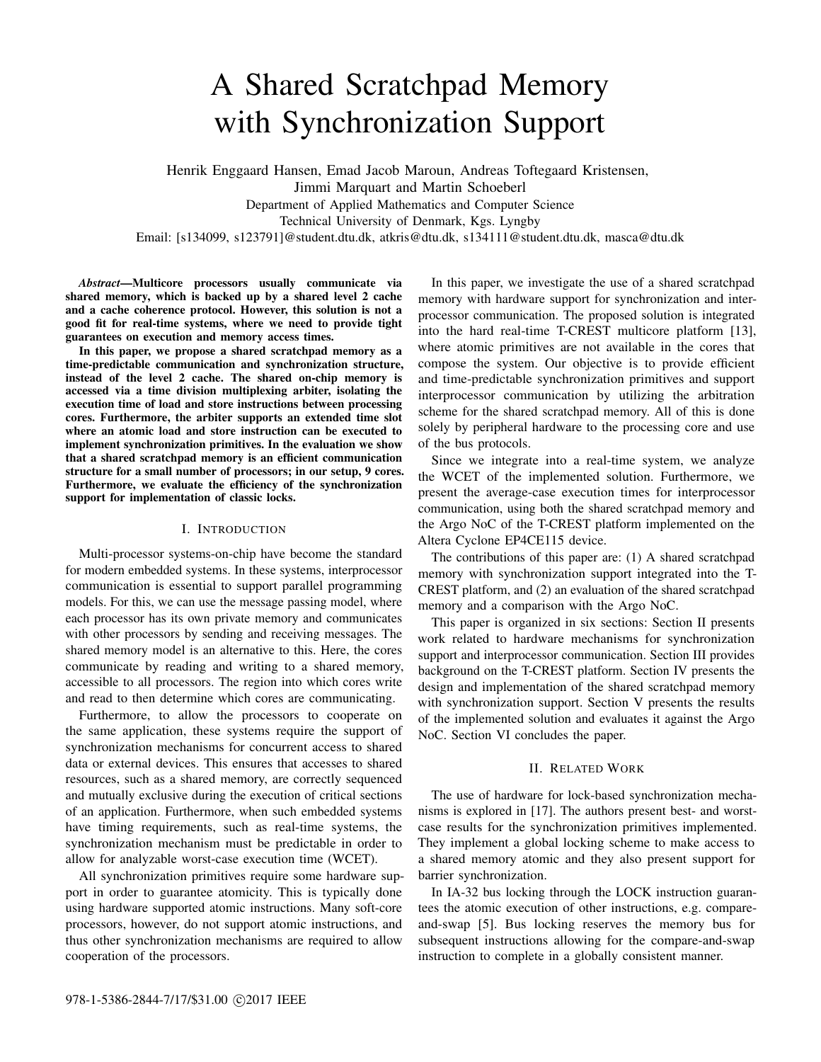# A Shared Scratchpad Memory with Synchronization Support

Henrik Enggaard Hansen, Emad Jacob Maroun, Andreas Toftegaard Kristensen, Jimmi Marquart and Martin Schoeberl Department of Applied Mathematics and Computer Science Technical University of Denmark, Kgs. Lyngby Email: [s134099, s123791]@student.dtu.dk, atkris@dtu.dk, s134111@student.dtu.dk, masca@dtu.dk

*Abstract*—Multicore processors usually communicate via shared memory, which is backed up by a shared level 2 cache and a cache coherence protocol. However, this solution is not a good fit for real-time systems, where we need to provide tight guarantees on execution and memory access times.

In this paper, we propose a shared scratchpad memory as a time-predictable communication and synchronization structure, instead of the level 2 cache. The shared on-chip memory is accessed via a time division multiplexing arbiter, isolating the execution time of load and store instructions between processing cores. Furthermore, the arbiter supports an extended time slot where an atomic load and store instruction can be executed to implement synchronization primitives. In the evaluation we show that a shared scratchpad memory is an efficient communication structure for a small number of processors; in our setup, 9 cores. Furthermore, we evaluate the efficiency of the synchronization support for implementation of classic locks.

# I. INTRODUCTION

Multi-processor systems-on-chip have become the standard for modern embedded systems. In these systems, interprocessor communication is essential to support parallel programming models. For this, we can use the message passing model, where each processor has its own private memory and communicates with other processors by sending and receiving messages. The shared memory model is an alternative to this. Here, the cores communicate by reading and writing to a shared memory, accessible to all processors. The region into which cores write and read to then determine which cores are communicating.

Furthermore, to allow the processors to cooperate on the same application, these systems require the support of synchronization mechanisms for concurrent access to shared data or external devices. This ensures that accesses to shared resources, such as a shared memory, are correctly sequenced and mutually exclusive during the execution of critical sections of an application. Furthermore, when such embedded systems have timing requirements, such as real-time systems, the synchronization mechanism must be predictable in order to allow for analyzable worst-case execution time (WCET).

All synchronization primitives require some hardware support in order to guarantee atomicity. This is typically done using hardware supported atomic instructions. Many soft-core processors, however, do not support atomic instructions, and thus other synchronization mechanisms are required to allow cooperation of the processors.

In this paper, we investigate the use of a shared scratchpad memory with hardware support for synchronization and interprocessor communication. The proposed solution is integrated into the hard real-time T-CREST multicore platform [13], where atomic primitives are not available in the cores that compose the system. Our objective is to provide efficient and time-predictable synchronization primitives and support interprocessor communication by utilizing the arbitration scheme for the shared scratchpad memory. All of this is done solely by peripheral hardware to the processing core and use of the bus protocols.

Since we integrate into a real-time system, we analyze the WCET of the implemented solution. Furthermore, we present the average-case execution times for interprocessor communication, using both the shared scratchpad memory and the Argo NoC of the T-CREST platform implemented on the Altera Cyclone EP4CE115 device.

The contributions of this paper are: (1) A shared scratchpad memory with synchronization support integrated into the T-CREST platform, and (2) an evaluation of the shared scratchpad memory and a comparison with the Argo NoC.

This paper is organized in six sections: Section II presents work related to hardware mechanisms for synchronization support and interprocessor communication. Section III provides background on the T-CREST platform. Section IV presents the design and implementation of the shared scratchpad memory with synchronization support. Section V presents the results of the implemented solution and evaluates it against the Argo NoC. Section VI concludes the paper.

## II. RELATED WORK

The use of hardware for lock-based synchronization mechanisms is explored in [17]. The authors present best- and worstcase results for the synchronization primitives implemented. They implement a global locking scheme to make access to a shared memory atomic and they also present support for barrier synchronization.

In IA-32 bus locking through the LOCK instruction guarantees the atomic execution of other instructions, e.g. compareand-swap [5]. Bus locking reserves the memory bus for subsequent instructions allowing for the compare-and-swap instruction to complete in a globally consistent manner.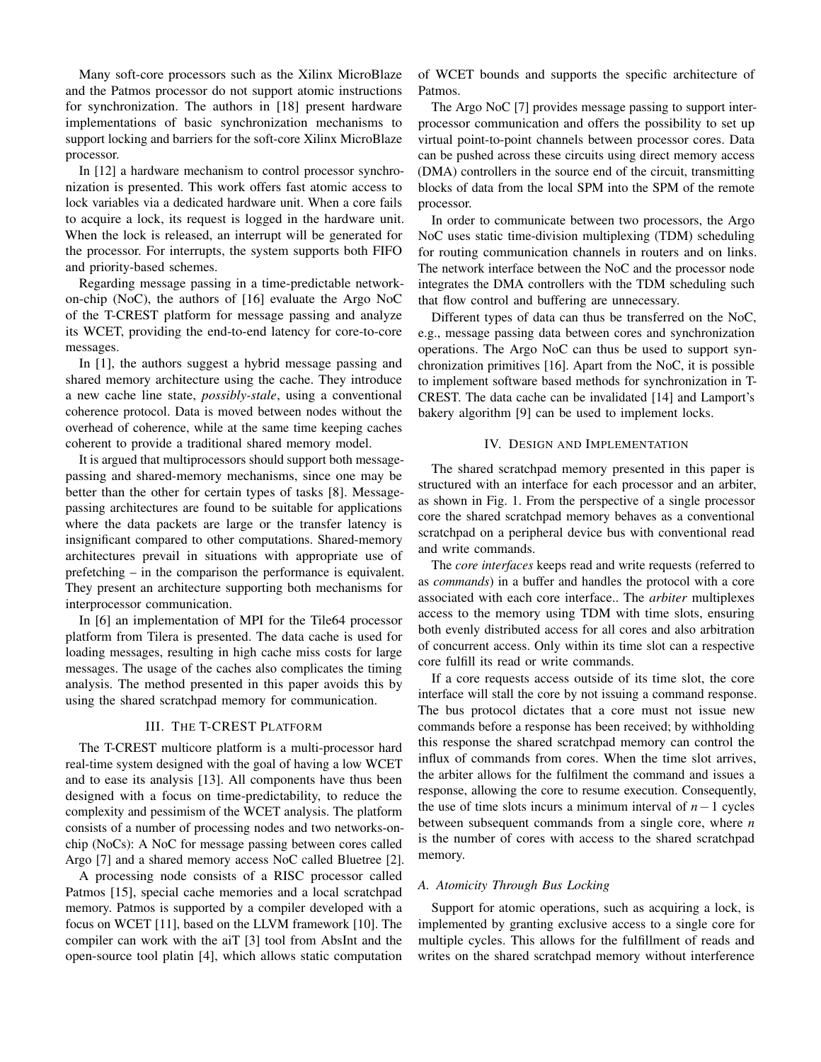Many soft-core processors such as the Xilinx MicroBlaze and the Patmos processor do not support atomic instructions for synchronization. The authors in [18] present hardware implementations of basic synchronization mechanisms to support locking and barriers for the soft-core Xilinx MicroBlaze processor.

In [12] a hardware mechanism to control processor synchronization is presented. This work offers fast atomic access to lock variables via a dedicated hardware unit. When a core fails to acquire a lock, its request is logged in the hardware unit. When the lock is released, an interrupt will be generated for the processor. For interrupts, the system supports both FIFO and priority-based schemes.

Regarding message passing in a time-predictable networkon-chip (NoC), the authors of [16] evaluate the Argo NoC of the T-CREST platform for message passing and analyze its WCET, providing the end-to-end latency for core-to-core messages.

In [1], the authors suggest a hybrid message passing and shared memory architecture using the cache. They introduce a new cache line state, *possibly-stale*, using a conventional coherence protocol. Data is moved between nodes without the overhead of coherence, while at the same time keeping caches coherent to provide a traditional shared memory model.

It is argued that multiprocessors should support both messagepassing and shared-memory mechanisms, since one may be better than the other for certain types of tasks [8]. Messagepassing architectures are found to be suitable for applications where the data packets are large or the transfer latency is insignificant compared to other computations. Shared-memory architectures prevail in situations with appropriate use of prefetching – in the comparison the performance is equivalent. They present an architecture supporting both mechanisms for interprocessor communication.

In [6] an implementation of MPI for the Tile64 processor platform from Tilera is presented. The data cache is used for loading messages, resulting in high cache miss costs for large messages. The usage of the caches also complicates the timing analysis. The method presented in this paper avoids this by using the shared scratchpad memory for communication.

# III. THE T-CREST PLATFORM

The T-CREST multicore platform is a multi-processor hard real-time system designed with the goal of having a low WCET and to ease its analysis [13]. All components have thus been designed with a focus on time-predictability, to reduce the complexity and pessimism of the WCET analysis. The platform consists of a number of processing nodes and two networks-onchip (NoCs): A NoC for message passing between cores called Argo [7] and a shared memory access NoC called Bluetree [2].

A processing node consists of a RISC processor called Patmos [15], special cache memories and a local scratchpad memory. Patmos is supported by a compiler developed with a focus on WCET [11], based on the LLVM framework [10]. The compiler can work with the aiT [3] tool from AbsInt and the open-source tool platin [4], which allows static computation

of WCET bounds and supports the specific architecture of Patmos.

The Argo NoC [7] provides message passing to support interprocessor communication and offers the possibility to set up virtual point-to-point channels between processor cores. Data can be pushed across these circuits using direct memory access (DMA) controllers in the source end of the circuit, transmitting blocks of data from the local SPM into the SPM of the remote processor.

In order to communicate between two processors, the Argo NoC uses static time-division multiplexing (TDM) scheduling for routing communication channels in routers and on links. The network interface between the NoC and the processor node integrates the DMA controllers with the TDM scheduling such that flow control and buffering are unnecessary.

Different types of data can thus be transferred on the NoC, e.g., message passing data between cores and synchronization operations. The Argo NoC can thus be used to support synchronization primitives [16]. Apart from the NoC, it is possible to implement software based methods for synchronization in T-CREST. The data cache can be invalidated [14] and Lamport's bakery algorithm [9] can be used to implement locks.

# IV. DESIGN AND IMPLEMENTATION

The shared scratchpad memory presented in this paper is structured with an interface for each processor and an arbiter, as shown in Fig. 1. From the perspective of a single processor core the shared scratchpad memory behaves as a conventional scratchpad on a peripheral device bus with conventional read and write commands.

The *core interfaces* keeps read and write requests (referred to as *commands*) in a buffer and handles the protocol with a core associated with each core interface.. The *arbiter* multiplexes access to the memory using TDM with time slots, ensuring both evenly distributed access for all cores and also arbitration of concurrent access. Only within its time slot can a respective core fulfill its read or write commands.

If a core requests access outside of its time slot, the core interface will stall the core by not issuing a command response. The bus protocol dictates that a core must not issue new commands before a response has been received; by withholding this response the shared scratchpad memory can control the influx of commands from cores. When the time slot arrives, the arbiter allows for the fulfilment the command and issues a response, allowing the core to resume execution. Consequently, the use of time slots incurs a minimum interval of *n*−1 cycles between subsequent commands from a single core, where *n* is the number of cores with access to the shared scratchpad memory.

## *A. Atomicity Through Bus Locking*

Support for atomic operations, such as acquiring a lock, is implemented by granting exclusive access to a single core for multiple cycles. This allows for the fulfillment of reads and writes on the shared scratchpad memory without interference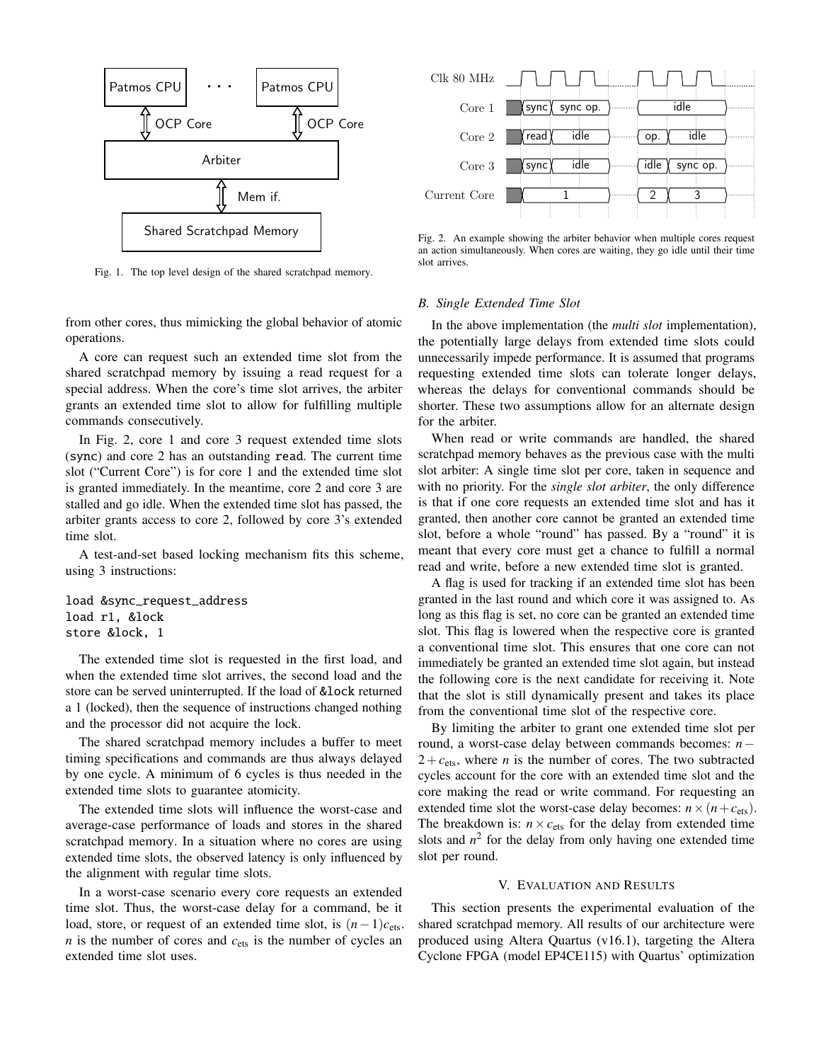

Fig. 1. The top level design of the shared scratchpad memory.

from other cores, thus mimicking the global behavior of atomic operations.

A core can request such an extended time slot from the shared scratchpad memory by issuing a read request for a special address. When the core's time slot arrives, the arbiter grants an extended time slot to allow for fulfilling multiple commands consecutively.

In Fig. 2, core 1 and core 3 request extended time slots (sync) and core 2 has an outstanding read. The current time slot ("Current Core") is for core 1 and the extended time slot is granted immediately. In the meantime, core 2 and core 3 are stalled and go idle. When the extended time slot has passed, the arbiter grants access to core 2, followed by core 3's extended time slot.

A test-and-set based locking mechanism fits this scheme, using 3 instructions:

```
load &sync_request_address
load r1, &lock
store &lock, 1
```
The extended time slot is requested in the first load, and when the extended time slot arrives, the second load and the store can be served uninterrupted. If the load of &lock returned a 1 (locked), then the sequence of instructions changed nothing and the processor did not acquire the lock.

The shared scratchpad memory includes a buffer to meet timing specifications and commands are thus always delayed by one cycle. A minimum of 6 cycles is thus needed in the extended time slots to guarantee atomicity.

The extended time slots will influence the worst-case and average-case performance of loads and stores in the shared scratchpad memory. In a situation where no cores are using extended time slots, the observed latency is only influenced by the alignment with regular time slots.

In a worst-case scenario every core requests an extended time slot. Thus, the worst-case delay for a command, be it load, store, or request of an extended time slot, is  $(n-1)c$ <sub>ets</sub>.  $n$  is the number of cores and  $c_{\text{ets}}$  is the number of cycles an extended time slot uses.



Fig. 2. An example showing the arbiter behavior when multiple cores request an action simultaneously. When cores are waiting, they go idle until their time slot arrives.

#### *B. Single Extended Time Slot*

In the above implementation (the *multi slot* implementation), the potentially large delays from extended time slots could unnecessarily impede performance. It is assumed that programs requesting extended time slots can tolerate longer delays, whereas the delays for conventional commands should be shorter. These two assumptions allow for an alternate design for the arbiter.

When read or write commands are handled, the shared scratchpad memory behaves as the previous case with the multi slot arbiter: A single time slot per core, taken in sequence and with no priority. For the *single slot arbiter*, the only difference is that if one core requests an extended time slot and has it granted, then another core cannot be granted an extended time slot, before a whole "round" has passed. By a "round" it is meant that every core must get a chance to fulfill a normal read and write, before a new extended time slot is granted.

A flag is used for tracking if an extended time slot has been granted in the last round and which core it was assigned to. As long as this flag is set, no core can be granted an extended time slot. This flag is lowered when the respective core is granted a conventional time slot. This ensures that one core can not immediately be granted an extended time slot again, but instead the following core is the next candidate for receiving it. Note that the slot is still dynamically present and takes its place from the conventional time slot of the respective core.

By limiting the arbiter to grant one extended time slot per round, a worst-case delay between commands becomes: *n*−  $2+c_{\text{ets}}$ , where *n* is the number of cores. The two subtracted cycles account for the core with an extended time slot and the core making the read or write command. For requesting an extended time slot the worst-case delay becomes:  $n \times (n + c_{\text{ets}})$ . The breakdown is:  $n \times c_{\text{ets}}$  for the delay from extended time slots and  $n^2$  for the delay from only having one extended time slot per round.

## V. EVALUATION AND RESULTS

This section presents the experimental evaluation of the shared scratchpad memory. All results of our architecture were produced using Altera Quartus (v16.1), targeting the Altera Cyclone FPGA (model EP4CE115) with Quartus' optimization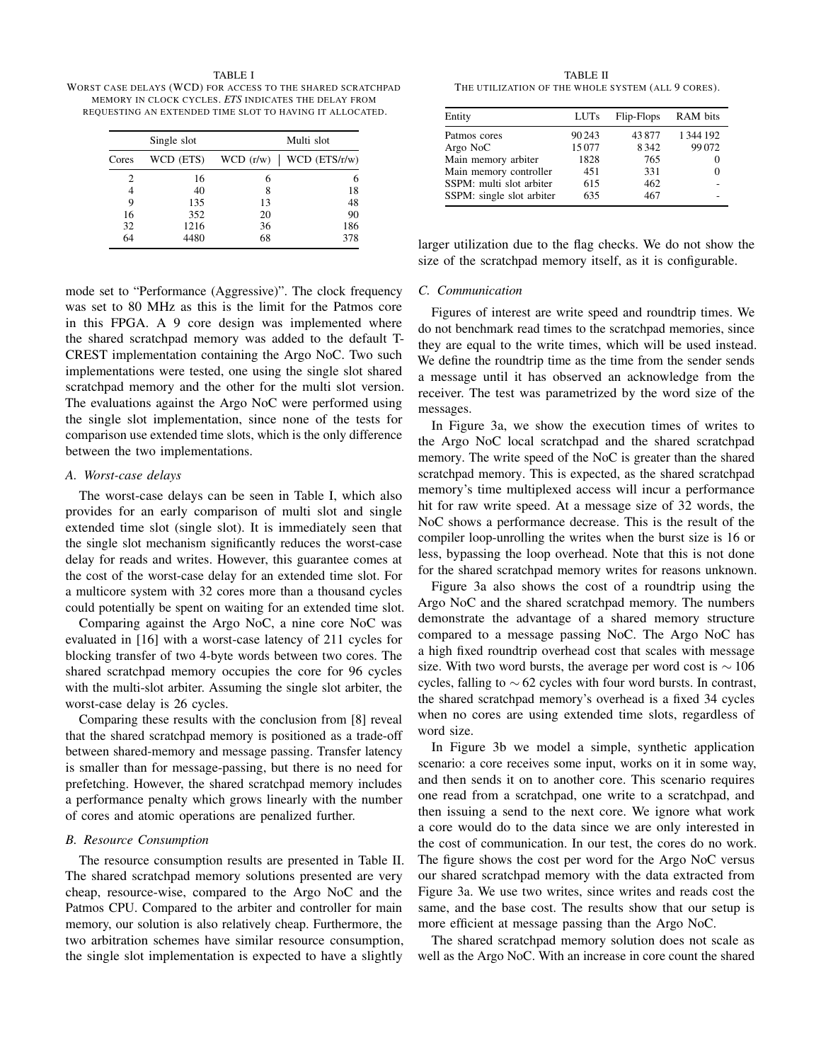TABLE I WORST CASE DELAYS (WCD) FOR ACCESS TO THE SHARED SCRATCHPAD MEMORY IN CLOCK CYCLES. *ETS* INDICATES THE DELAY FROM REQUESTING AN EXTENDED TIME SLOT TO HAVING IT ALLOCATED.

|       | Single slot |           | Multi slot      |  |
|-------|-------------|-----------|-----------------|--|
| Cores | WCD (ETS)   | WCD (r/w) | $WCD$ (ETS/r/w) |  |
| 2     | 16          | 6         | 6               |  |
| 4     | 40          | 8         | 18              |  |
| 9     | 135         | 13        | 48              |  |
| 16    | 352         | 20        | 90              |  |
| 32    | 1216        | 36        | 186             |  |
| 64    | 4480        | 68        | 378             |  |

TABLE II THE UTILIZATION OF THE WHOLE SYSTEM (ALL 9 CORES).

| Entity                    | <b>LUTs</b> | Flip-Flops | RAM bits      |
|---------------------------|-------------|------------|---------------|
| Patmos cores              | 90 243      | 43877      | 1 3 4 4 1 9 2 |
| Argo NoC                  | 15077       | 8342       | 99072         |
| Main memory arbiter       | 1828        | 765        | 0             |
| Main memory controller    | 451         | 331        | 0             |
| SSPM: multi slot arbiter  | 615         | 462        |               |
| SSPM: single slot arbiter | 635         | 467        |               |

larger utilization due to the flag checks. We do not show the size of the scratchpad memory itself, as it is configurable.

#### *C. Communication*

Figures of interest are write speed and roundtrip times. We do not benchmark read times to the scratchpad memories, since they are equal to the write times, which will be used instead. We define the roundtrip time as the time from the sender sends a message until it has observed an acknowledge from the receiver. The test was parametrized by the word size of the messages.

In Figure 3a, we show the execution times of writes to the Argo NoC local scratchpad and the shared scratchpad memory. The write speed of the NoC is greater than the shared scratchpad memory. This is expected, as the shared scratchpad memory's time multiplexed access will incur a performance hit for raw write speed. At a message size of 32 words, the NoC shows a performance decrease. This is the result of the compiler loop-unrolling the writes when the burst size is 16 or less, bypassing the loop overhead. Note that this is not done for the shared scratchpad memory writes for reasons unknown.

Figure 3a also shows the cost of a roundtrip using the Argo NoC and the shared scratchpad memory. The numbers demonstrate the advantage of a shared memory structure compared to a message passing NoC. The Argo NoC has a high fixed roundtrip overhead cost that scales with message size. With two word bursts, the average per word cost is  $\sim 106$ cycles, falling to  $\sim$  62 cycles with four word bursts. In contrast, the shared scratchpad memory's overhead is a fixed 34 cycles when no cores are using extended time slots, regardless of word size.

In Figure 3b we model a simple, synthetic application scenario: a core receives some input, works on it in some way, and then sends it on to another core. This scenario requires one read from a scratchpad, one write to a scratchpad, and then issuing a send to the next core. We ignore what work a core would do to the data since we are only interested in the cost of communication. In our test, the cores do no work. The figure shows the cost per word for the Argo NoC versus our shared scratchpad memory with the data extracted from Figure 3a. We use two writes, since writes and reads cost the same, and the base cost. The results show that our setup is more efficient at message passing than the Argo NoC.

The shared scratchpad memory solution does not scale as well as the Argo NoC. With an increase in core count the shared

mode set to "Performance (Aggressive)". The clock frequency was set to 80 MHz as this is the limit for the Patmos core in this FPGA. A 9 core design was implemented where the shared scratchpad memory was added to the default T-CREST implementation containing the Argo NoC. Two such implementations were tested, one using the single slot shared scratchpad memory and the other for the multi slot version. The evaluations against the Argo NoC were performed using the single slot implementation, since none of the tests for comparison use extended time slots, which is the only difference between the two implementations.

#### *A. Worst-case delays*

The worst-case delays can be seen in Table I, which also provides for an early comparison of multi slot and single extended time slot (single slot). It is immediately seen that the single slot mechanism significantly reduces the worst-case delay for reads and writes. However, this guarantee comes at the cost of the worst-case delay for an extended time slot. For a multicore system with 32 cores more than a thousand cycles could potentially be spent on waiting for an extended time slot.

Comparing against the Argo NoC, a nine core NoC was evaluated in [16] with a worst-case latency of 211 cycles for blocking transfer of two 4-byte words between two cores. The shared scratchpad memory occupies the core for 96 cycles with the multi-slot arbiter. Assuming the single slot arbiter, the worst-case delay is 26 cycles.

Comparing these results with the conclusion from [8] reveal that the shared scratchpad memory is positioned as a trade-off between shared-memory and message passing. Transfer latency is smaller than for message-passing, but there is no need for prefetching. However, the shared scratchpad memory includes a performance penalty which grows linearly with the number of cores and atomic operations are penalized further.

## *B. Resource Consumption*

The resource consumption results are presented in Table II. The shared scratchpad memory solutions presented are very cheap, resource-wise, compared to the Argo NoC and the Patmos CPU. Compared to the arbiter and controller for main memory, our solution is also relatively cheap. Furthermore, the two arbitration schemes have similar resource consumption, the single slot implementation is expected to have a slightly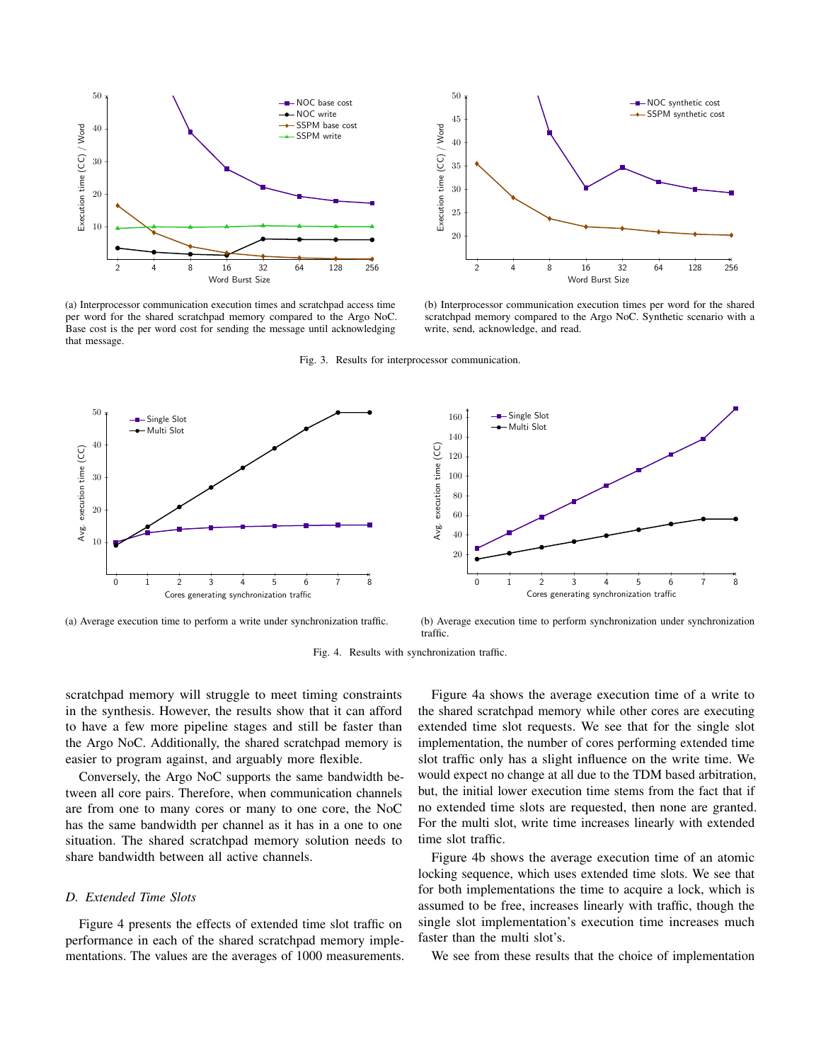

(a) Interprocessor communication execution times and scratchpad access time per word for the shared scratchpad memory compared to the Argo NoC. Base cost is the per word cost for sending the message until acknowledging that message.



(b) Interprocessor communication execution times per word for the shared scratchpad memory compared to the Argo NoC. Synthetic scenario with a write, send, acknowledge, and read.

Fig. 3. Results for interprocessor communication.



(a) Average execution time to perform a write under synchronization traffic.

(b) Average execution time to perform synchronization under synchronization traffic.

Fig. 4. Results with synchronization traffic.

scratchpad memory will struggle to meet timing constraints in the synthesis. However, the results show that it can afford to have a few more pipeline stages and still be faster than the Argo NoC. Additionally, the shared scratchpad memory is easier to program against, and arguably more flexible.

Conversely, the Argo NoC supports the same bandwidth between all core pairs. Therefore, when communication channels are from one to many cores or many to one core, the NoC has the same bandwidth per channel as it has in a one to one situation. The shared scratchpad memory solution needs to share bandwidth between all active channels.

### *D. Extended Time Slots*

Figure 4 presents the effects of extended time slot traffic on performance in each of the shared scratchpad memory implementations. The values are the averages of 1000 measurements.

Figure 4a shows the average execution time of a write to the shared scratchpad memory while other cores are executing extended time slot requests. We see that for the single slot implementation, the number of cores performing extended time slot traffic only has a slight influence on the write time. We would expect no change at all due to the TDM based arbitration, but, the initial lower execution time stems from the fact that if no extended time slots are requested, then none are granted. For the multi slot, write time increases linearly with extended time slot traffic.

Figure 4b shows the average execution time of an atomic locking sequence, which uses extended time slots. We see that for both implementations the time to acquire a lock, which is assumed to be free, increases linearly with traffic, though the single slot implementation's execution time increases much faster than the multi slot's.

We see from these results that the choice of implementation